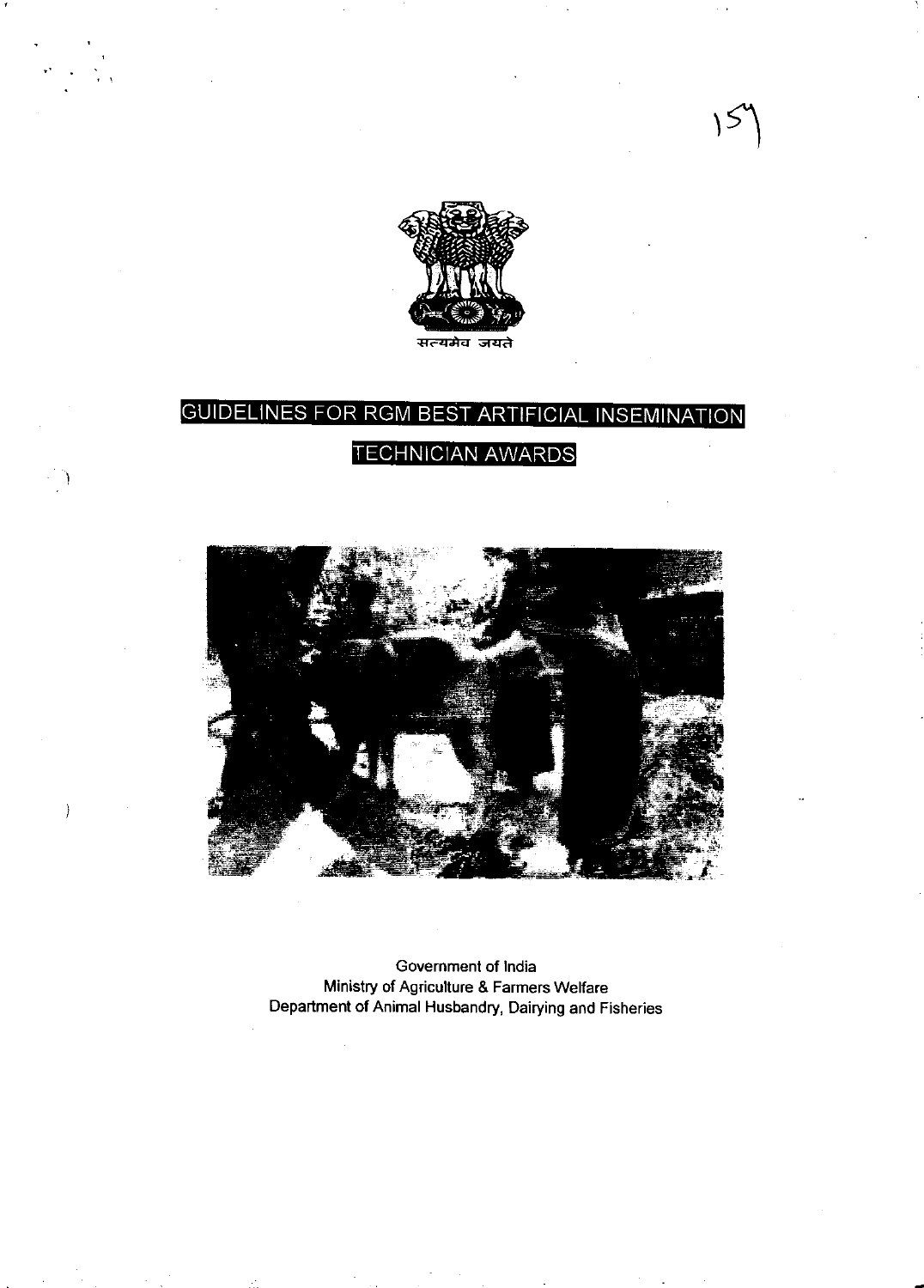

### **GUIDELINES FOR BEST ARTIFICIAL INSEMINATION**  $RGM$ **TECHNICIAN AWARDS**



Government of India Ministry of Agriculture & Farmers Welfare<br>Department of Animal Husbandry, Dairying and Fisheries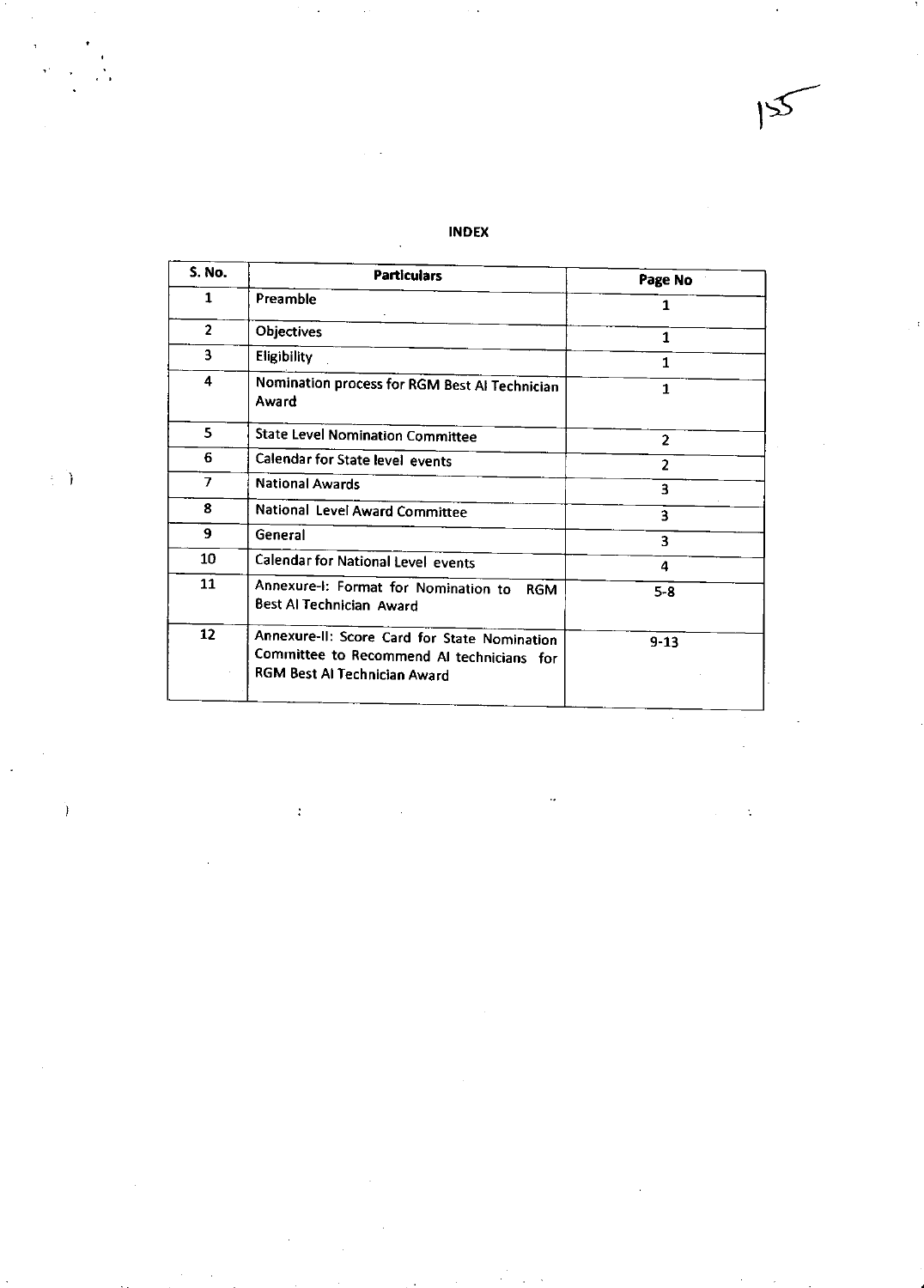## INDEX

 $\hat{\mathcal{L}}_{\text{eff}}$ 

 $\mathcal{A}$ 

 $\ddot{\cdot}$ 

 $\mathbb{R}^2$ 

| S. No.         | <b>Particulars</b>                                                                                                        | Page No        |  |
|----------------|---------------------------------------------------------------------------------------------------------------------------|----------------|--|
| 1              | Preamble                                                                                                                  | 1              |  |
| $\overline{2}$ | <b>Objectives</b>                                                                                                         | 1              |  |
| 3              | Eligibility                                                                                                               | 1              |  |
| 4              | Nomination process for RGM Best AI Technician<br>Award                                                                    | $\mathbf{1}$   |  |
| 5              | <b>State Level Nomination Committee</b>                                                                                   | $\overline{2}$ |  |
| 6              | <b>Calendar for State level events</b>                                                                                    | $\overline{2}$ |  |
| $\overline{z}$ | <b>National Awards</b>                                                                                                    | 3              |  |
| 8              | National Level Award Committee                                                                                            | 3              |  |
| 9              | General                                                                                                                   | 3              |  |
| 10             | <b>Calendar for National Level events</b>                                                                                 | 4              |  |
| 11             | Annexure-I: Format for Nomination to<br><b>RGM</b><br><b>Best Al Technician Award</b>                                     | $5 - 8$        |  |
| 12             | Annexure-II: Score Card for State Nomination<br>Committee to Recommend AI technicians for<br>RGM Best Al Technician Award | $9 - 13$       |  |

 $\label{eq:2} \frac{1}{\sqrt{2}}\left(\frac{1}{\sqrt{2}}\right)^{2}=\frac{1}{2}\left(\frac{1}{2}\right)^{2}$ 

 $\mathbb{R}^{d-1}$ 

 $\ddot{\phantom{a}}$ 

 $\frac{1}{2} \sum_{i=1}^{2} \frac{1}{2} \left( \frac{1}{2} \right)^i$ 

 $\bar{\mathcal{A}}$ 

 $\hat{I}$ 

 $\begin{array}{c} 1 \\ 1 \\ 1 \end{array}$ 

 $155$ 

 $\ddot{\cdot}$ 

 $\ddot{\phantom{0}}$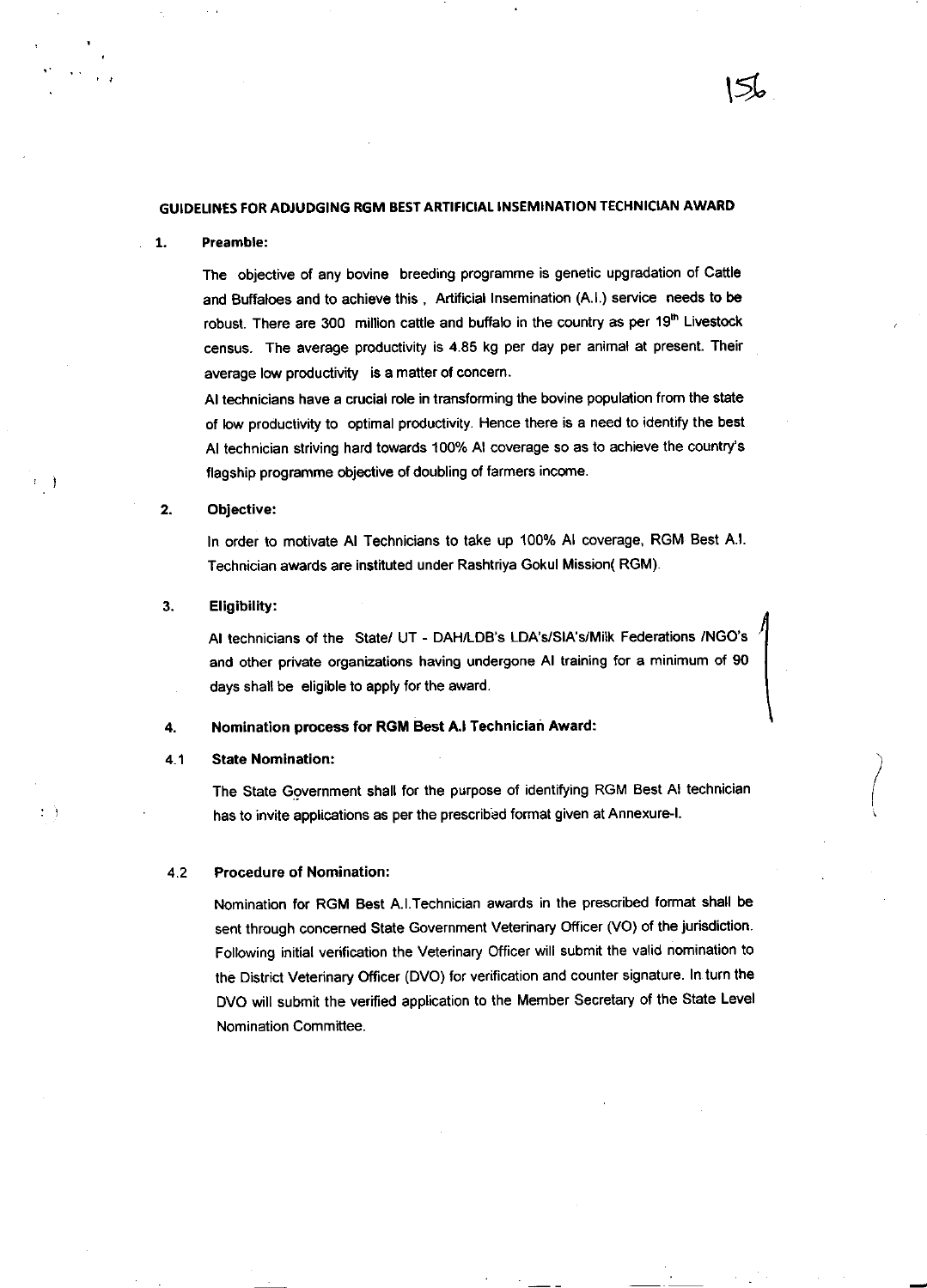### GUIDELINES FOR ADJUDGING RGM BEST ARTIFICIAL INSEMINATION TECHNICIAN AWARD

#### 1. Preamble:

The objective of any bovine breeding programme is genetic upgradation of Cattle and Buffaloes and to achieve this, Artificial Insemination (A.I.) service needs to be robust. There are 300 million cattle and buffalo in the country as per 19<sup>th</sup> Livestock census. The average productivity is 4.85 kg per day per animal at present. Their average low productivity is a matter of concern.

 $\lessdot$ 

Al technicians have a crucial role in transforming the bovine population from the state of low productivity to optimal productivity. Hence there is a need to identify the best Al technician striving hard towards 100% Al coverage so as to achieve the country's flagship programme objective of doubling of farmers income.

### 2. Objective:

r)

 $\mathcal{L}_{\mathcal{A}}$ 

In order to motivate AI Technicians to take up 100% AI coverage, RGM Best A.I. Technician awards are instituted under Rashtriya Gokul Mission(RGM).

#### $3.$ Eligibility:

Al technicians of the State/ UT - DAH/LDB's LDA's/SIA's/Milk Federations /NGO's and other private organizations having undergone AI training for a minimum of 90 days shall be eligible to apply tor the award.

#### Nomination process for RGM Best A.l Technician Award: 4.

#### State Nomination: 4.1

The State Government shall for the purpose of identifying RGM Best AI technician has to invite applications as per the prescribed format given at Annexure-I.

#### Procedure of Nomination: 4.2

Nomination for RGM Best A.l.Technician awards in the prescribed format shall be sent through concerned State Government Veterinary Officer (VO) of the jurisdiction. Following initial verification the Veterinary Officer will submit the valid nomination to the District Veterinary Officer (DVO) for verification and counter signature. In turn the DVO will submit the verified application to the Member Secretary of the State Level Nomination Committee.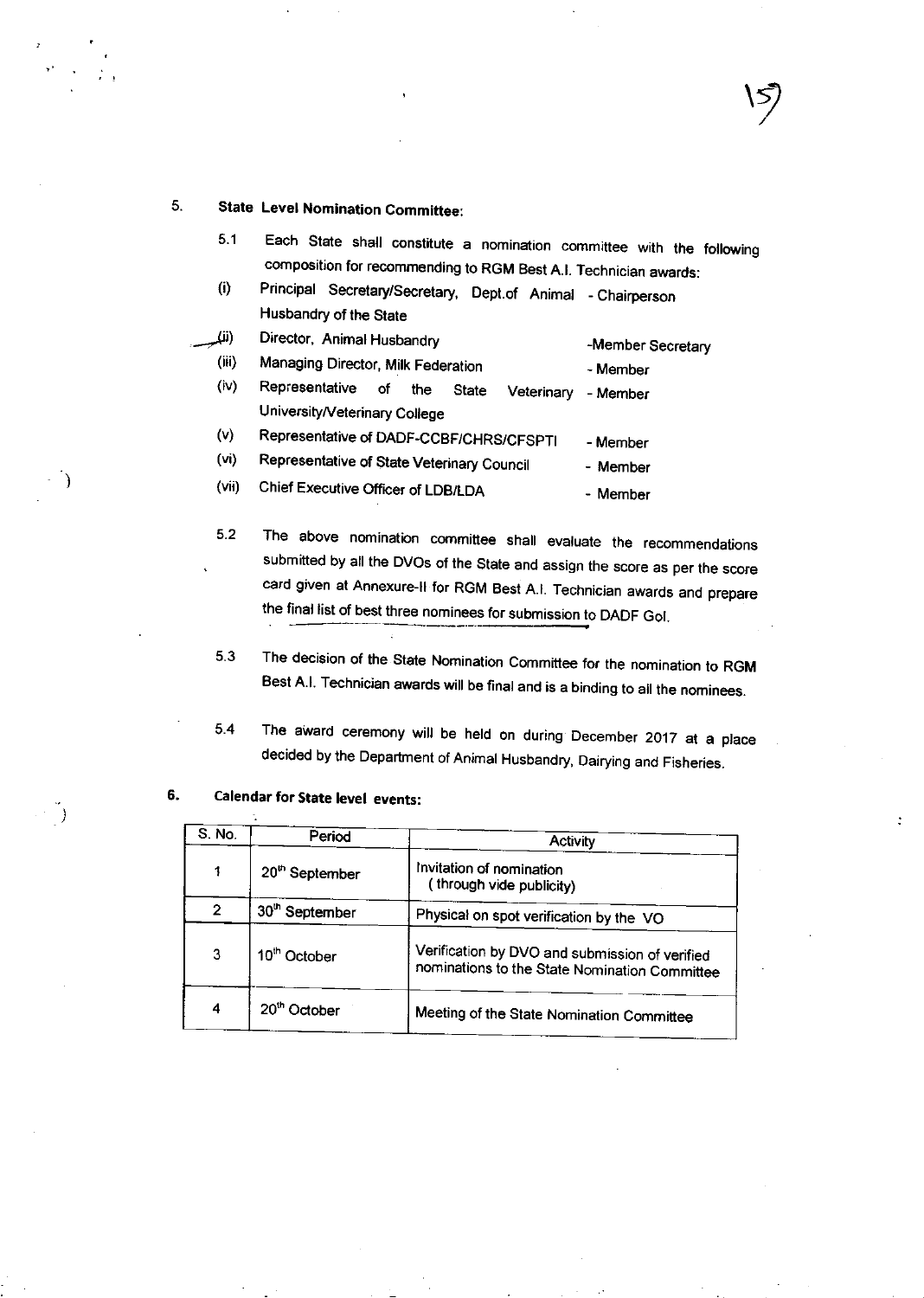#### 5. State Level Nomination Committee:

5.1 Each State shall constitute a nomination committee with the following<br>composition for recommending to RGM Best A.I. Technician awards:

 $\left\langle \cdot\right\rangle$ 

(i) Principal Secretary/Secretary, Dept.of Animal - Chairperson Husbandry of the State

| ω)    | Director, Animal Husbandry                         | -Member Secretary |
|-------|----------------------------------------------------|-------------------|
| (iii) | Managing Director, Milk Federation                 | - Member          |
| (iv)  | Representative<br>οf<br>the<br>State<br>Veterinary | - Member          |
|       | University/Veterinary College                      |                   |
| (v)   | Representative of DADF-CCBF/CHRS/CFSPTI            | - Member          |
| (vi)  | Representative of State Veterinary Council         | - Member          |

- (vii) Chief Executive Officer of LDB/LDA \_ Member
- 5.2 The above nomination commiflee shall evaluate the recommendalions submitted by all the DVOS of the State and assign the score as per the score card given at Annexure-ll for RGM Best A.l. Technician awards and prepare the final list of best three nominees for submission to DADF Gol.
- The decision of the State Nomination Committee for the nomination to RGM Best A.l. Technician awards will be final and is a binding to all the nominees. 5.3
- 5.4 The award ceremony will be held on during December 2017 at a place decided by the Department of Animat Husbandry, Dairying and Fisheries.

| S.No. | Period                     | <b>Activity</b>                                                                                 |
|-------|----------------------------|-------------------------------------------------------------------------------------------------|
|       | 20 <sup>th</sup> September | Invitation of nomination<br>(through vide publicity)                                            |
| 2     | 30 <sup>th</sup> September | Physical on spot verification by the VO                                                         |
| 3     | 10 <sup>th</sup> October   | Verification by DVO and submission of verified<br>nominations to the State Nomination Committee |
| 4     | 20 <sup>th</sup> October   | Meeting of the State Nomination Committee                                                       |

#### 6. Calendar for State level events:

÷.

 $\lambda$ 

 $\rightarrow$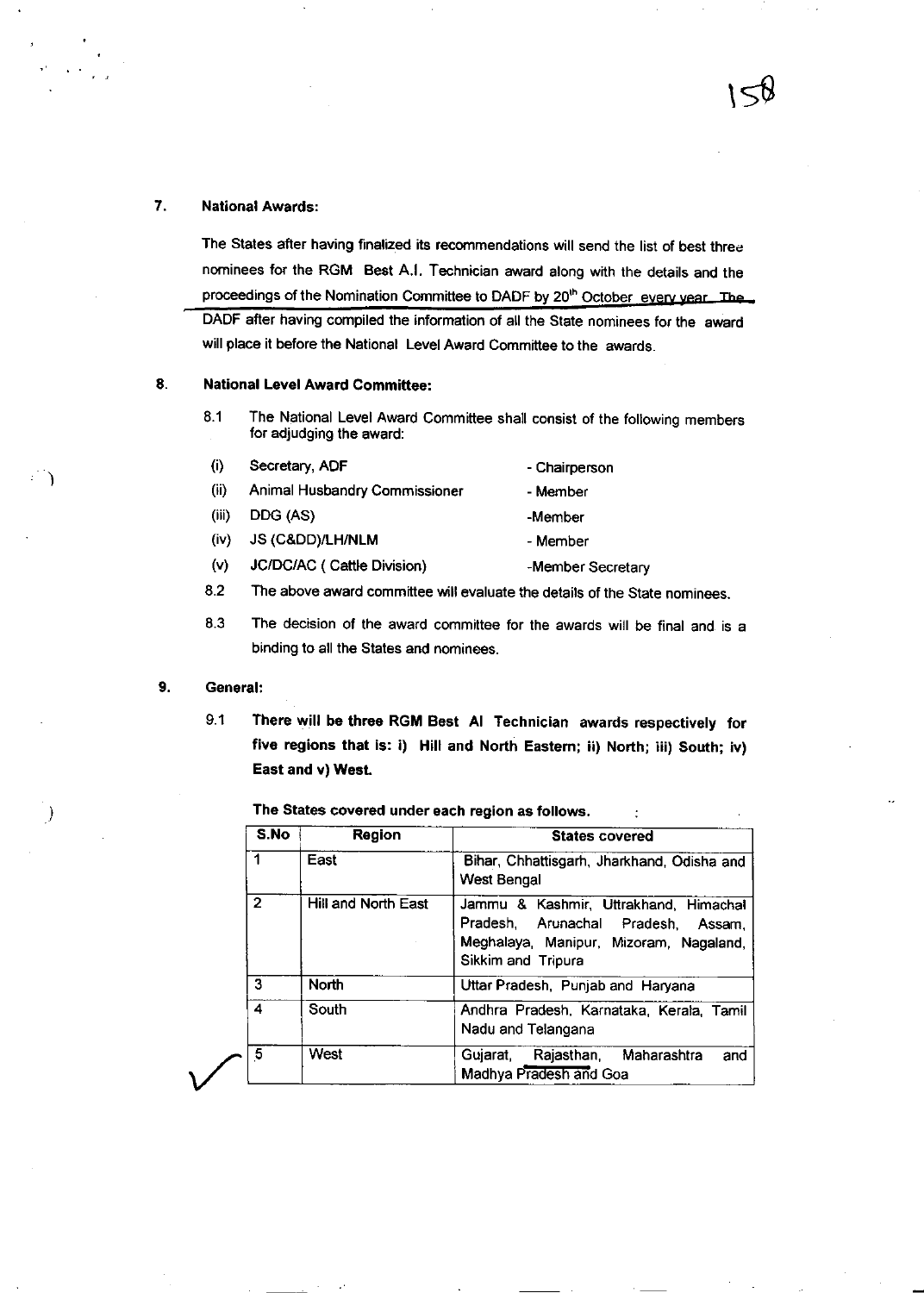The States after having finalized its recommendations will send the list of best three nominees for the RGM Best A.I. Technician award along with the details and the proceedings of the Nomination Committee to DADF by 20<sup>th</sup> October every vear. The DADF after having compiled the information of all the State nominees for the award will place it before the National Level Award Committee to the awards.

 $\approx$ 

#### 8. National Level Award Committee:

8.1 The National Level Award Committee shall consist of the following members for adjudging the award:

| (i)   | Secretary, ADF                       | - Chairperson     |
|-------|--------------------------------------|-------------------|
| (ii)  | <b>Animal Husbandry Commissioner</b> | - Member          |
| (iii) | DDG (AS)                             | -Member           |
| (iv)  | JS (Cⅅ)/LH/NLM                       | - Member          |
| (v)   | JC/DC/AC ( Cattle Division)          | -Member Secretary |

- 8.2 The above award committee will evaluate the details of the State nominees.
- 8.3 The decision of the award committee for the awards will be final and is <sup>a</sup> binding to all the States and nominees.

#### 9. General:

,)

9.1 There will be three RGM Best Al Technician awards respectively for five regions that is: i) Hill and North Eastern; ii) North; iii) South; iv) East and v) West.

The States covered under each region as follows.

| S.No                                       | <b>Region</b> | <b>States covered</b>                                                                                                                          |  |
|--------------------------------------------|---------------|------------------------------------------------------------------------------------------------------------------------------------------------|--|
| East                                       |               | Bihar, Chhattisgarh, Jharkhand, Odisha and<br><b>West Bengal</b>                                                                               |  |
| $\mathbf{2}$<br><b>Hill and North East</b> |               | Jammu & Kashmir, Uttrakhand, Himachal<br>Pradesh, Arunachal Pradesh,<br>Assam.<br>Meghalaya, Manipur, Mizoram, Nagaland,<br>Sikkim and Tripura |  |
| 3                                          | <b>North</b>  | Uttar Pradesh, Punjab and Haryana                                                                                                              |  |
| 4                                          | South         | Andhra Pradesh, Karnataka, Kerala, Tamil<br>Nadu and Telangana                                                                                 |  |
| 5                                          | West          | Rajasthan, Maharashtra<br>Guiarat.<br>and<br>Madhya Pradesh and Goa                                                                            |  |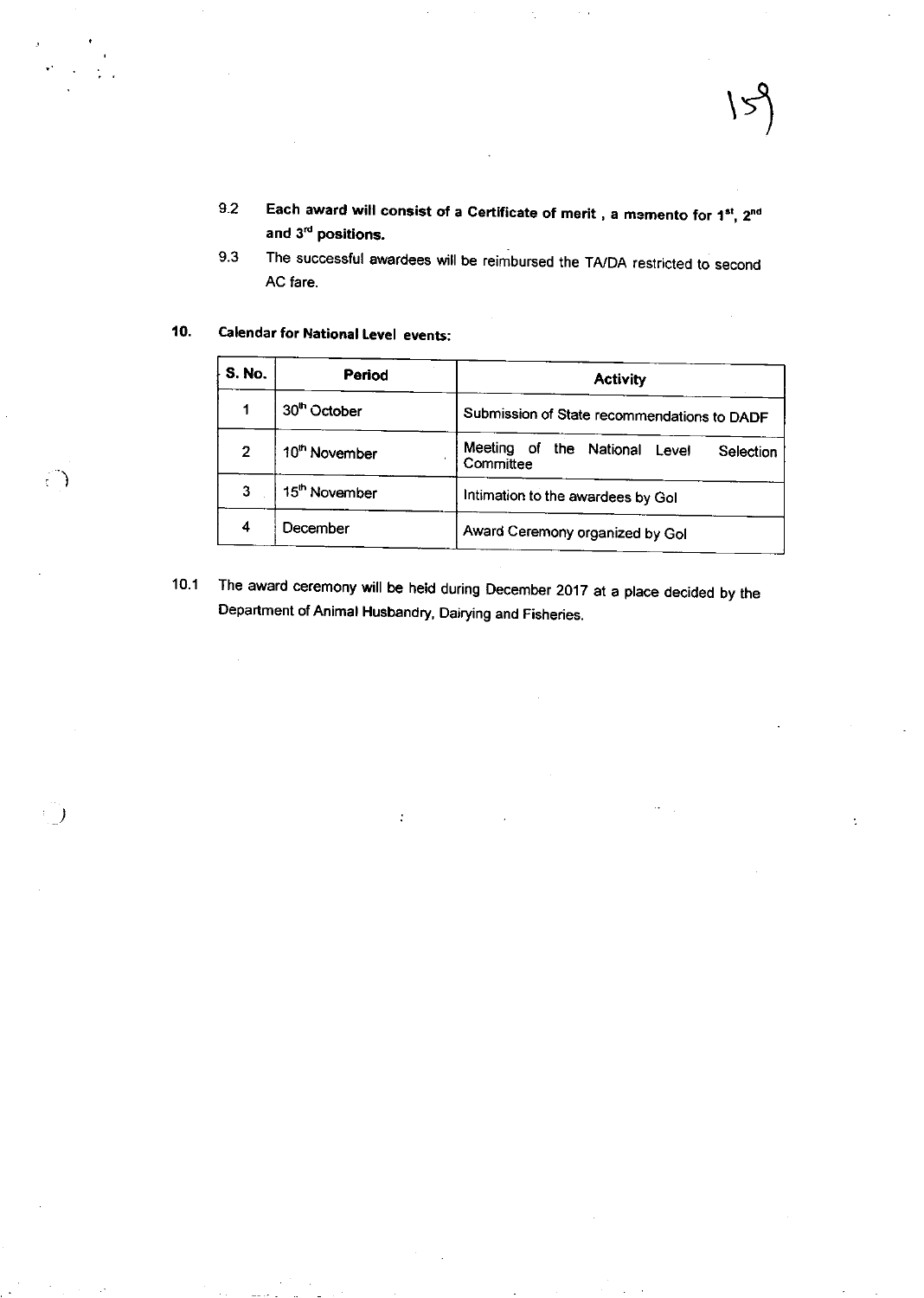- 
- Each award will consist of a Certificate of merit, a memento for 1<sup>st</sup>, 2<sup>nd</sup>  $9.2$ and 3<sup>rd</sup> positions.
- The successful awardees will be reimbursed the TA/DA restricted to second  $9.3$ AC fare.

#### 10. **Calendar for National Level events:**

 $\left( \begin{array}{c} \cdot \end{array} \right)$ 

| S.No.                    | Period                    | <b>Activity</b>                                            |  |
|--------------------------|---------------------------|------------------------------------------------------------|--|
| 30 <sup>th</sup> October |                           | Submission of State recommendations to DADF                |  |
| $\overline{2}$           | 10 <sup>th</sup> November | Meeting of the National<br>Level<br>Selection<br>Committee |  |
| 3                        | 15 <sup>th</sup> November | Intimation to the awardees by Gol                          |  |
| 4                        | December                  | Award Ceremony organized by Gol                            |  |

The award ceremony will be held during December 2017 at a place decided by the  $10.1$ Department of Animal Husbandry, Dairying and Fisheries.

ŀ,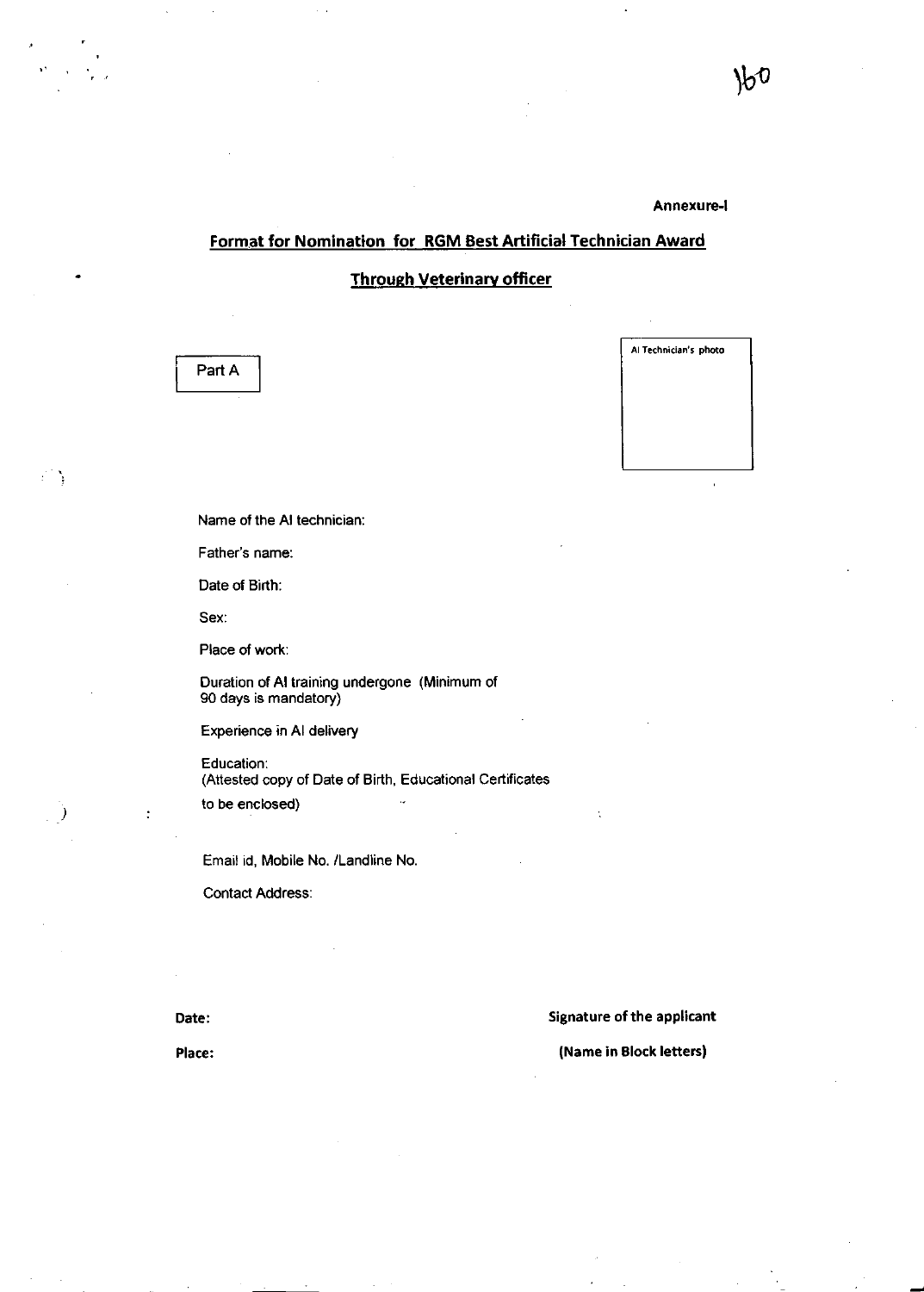### Annexure-I

### Format for Nomination for RGM Best Artificial Technician Award

**Through Veterinary officer** 

Part A

ं के

Al Technician's photo

Name of the AI technician:

Father's name:

Date of Birth:

Sex:

Place of work:

Duration of AI training undergone (Minimum of 90 days is mandatory)

Experience in AI delivery

Education: (Attested copy of Date of Birth, Educational Certificates to be enclosed)

Email id, Mobile No. /Landline No.

**Contact Address:** 

Signature of the applicant

Date: Place:

(Name in Block letters)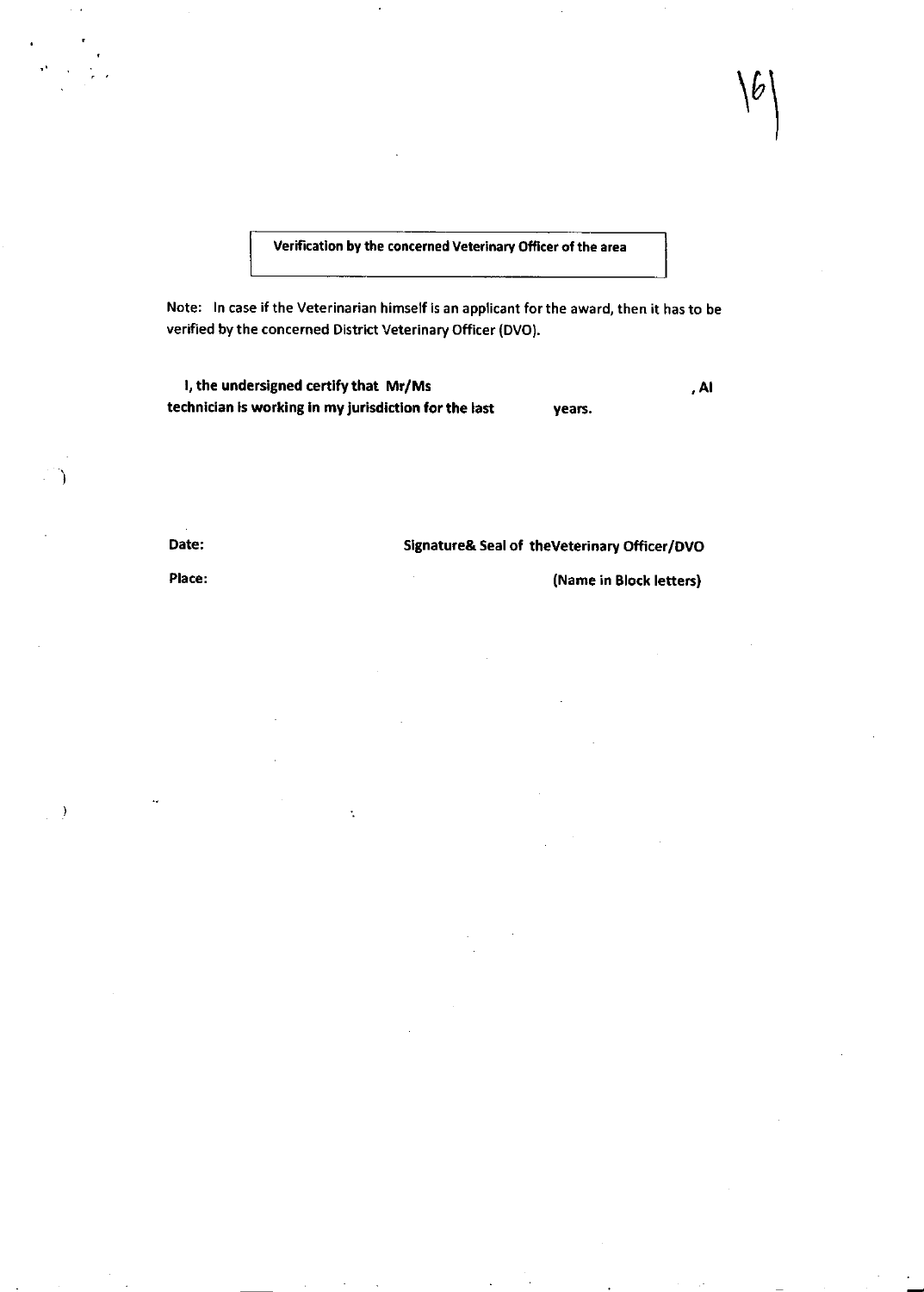Verification by the concerned Veterinary Officer of the area

Note: ln case if the Veterinarian himself is an applicant for the award, then it has to be verified by the concerned District Veterinary Officer (DVO).

| I, the undersigned certify that Mr/Ms                 |        | . Al |
|-------------------------------------------------------|--------|------|
| technician is working in my jurisdiction for the last | vears. |      |

÷.

Date:

λ

 $\rightarrow$ 

### Slgnature& Seal of theveterinary Officer/Dvo

Place:

(Name in Block letters)

 $\mathcal{V}$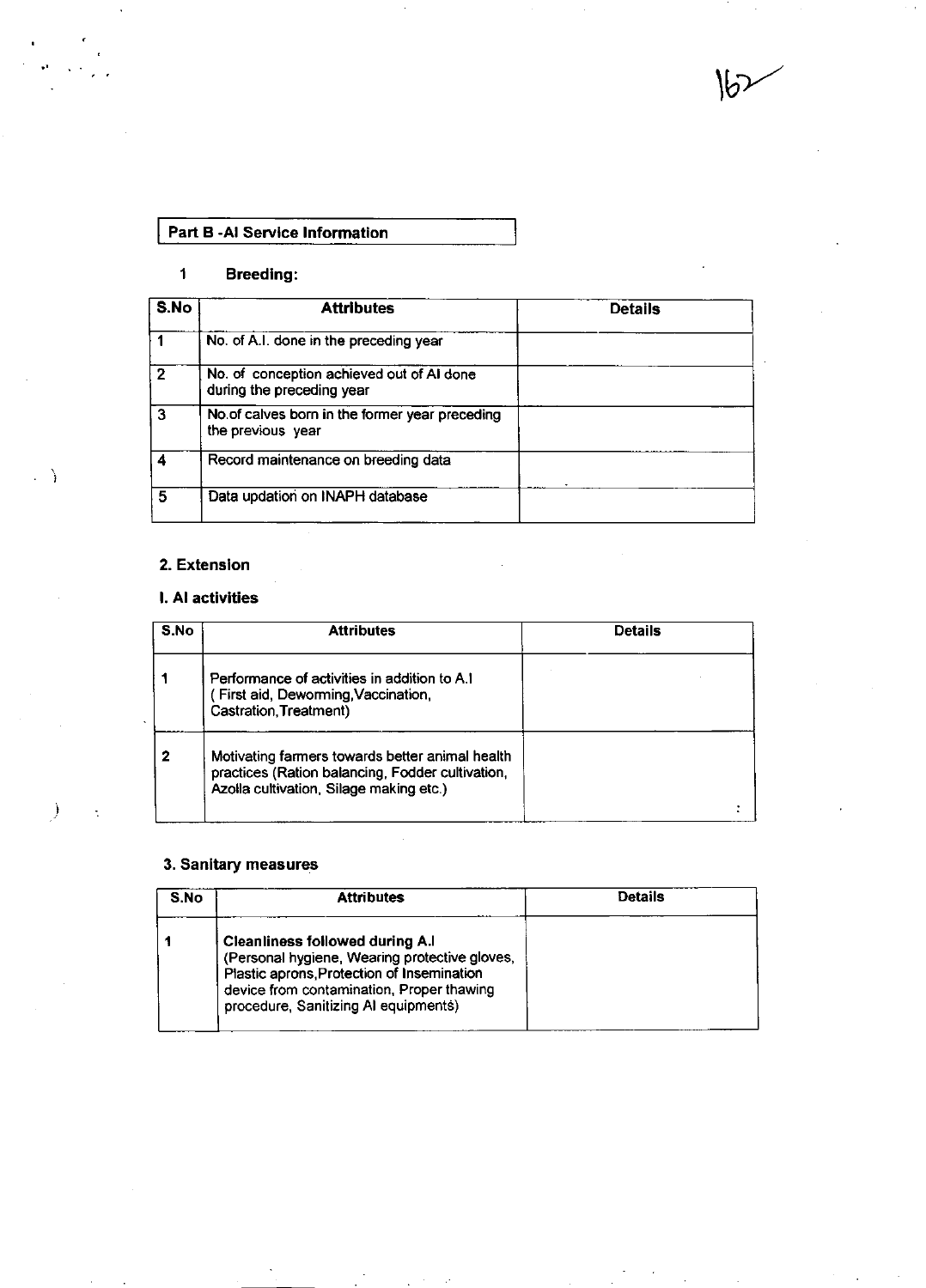$\mathcal{b}$ ,

## Part B -Al Service Information

## 1 Breedlng:

| S.No           | <b>Attributes</b>                                                      | <b>Details</b> |
|----------------|------------------------------------------------------------------------|----------------|
|                | No. of A.I. done in the preceding year                                 |                |
| $\overline{2}$ | No. of conception achieved out of AI done<br>during the preceding year |                |
| $\mathbf{3}$   | No.of calves born in the former year preceding<br>the previous year    |                |
|                | Record maintenance on breeding data                                    |                |
| 5              | Data updation on INAPH database                                        |                |

### 2. Extenslon

 $\Box$ 

 $\ddot{\phantom{1}}$ 

i

 $\ddot{\phantom{a}}$ 

## l. Al activlties

| S.No | <b>Attributes</b>                                                                                                                              | Details |
|------|------------------------------------------------------------------------------------------------------------------------------------------------|---------|
|      | Performance of activities in addition to A.1<br>First aid, Deworming, Vaccination,<br>Castration, Treatment)                                   |         |
| 2    | Motivating farmers towards better animal health<br>practices (Ration balancing, Fodder cultivation,<br>Azolla cultivation, Silage making etc.) |         |

## 3, Sanltary measures

| S.No | <b>Attributes</b>                                                                                                                                                                                                          | Details |
|------|----------------------------------------------------------------------------------------------------------------------------------------------------------------------------------------------------------------------------|---------|
|      | <b>Cleanliness followed during A.I</b><br>(Personal hygiene, Wearing protective gloves,<br>Plastic aprons, Protection of Insemination<br>device from contamination. Proper thawing<br>procedure, Sanitizing AI equipments) |         |

 $\sim 100$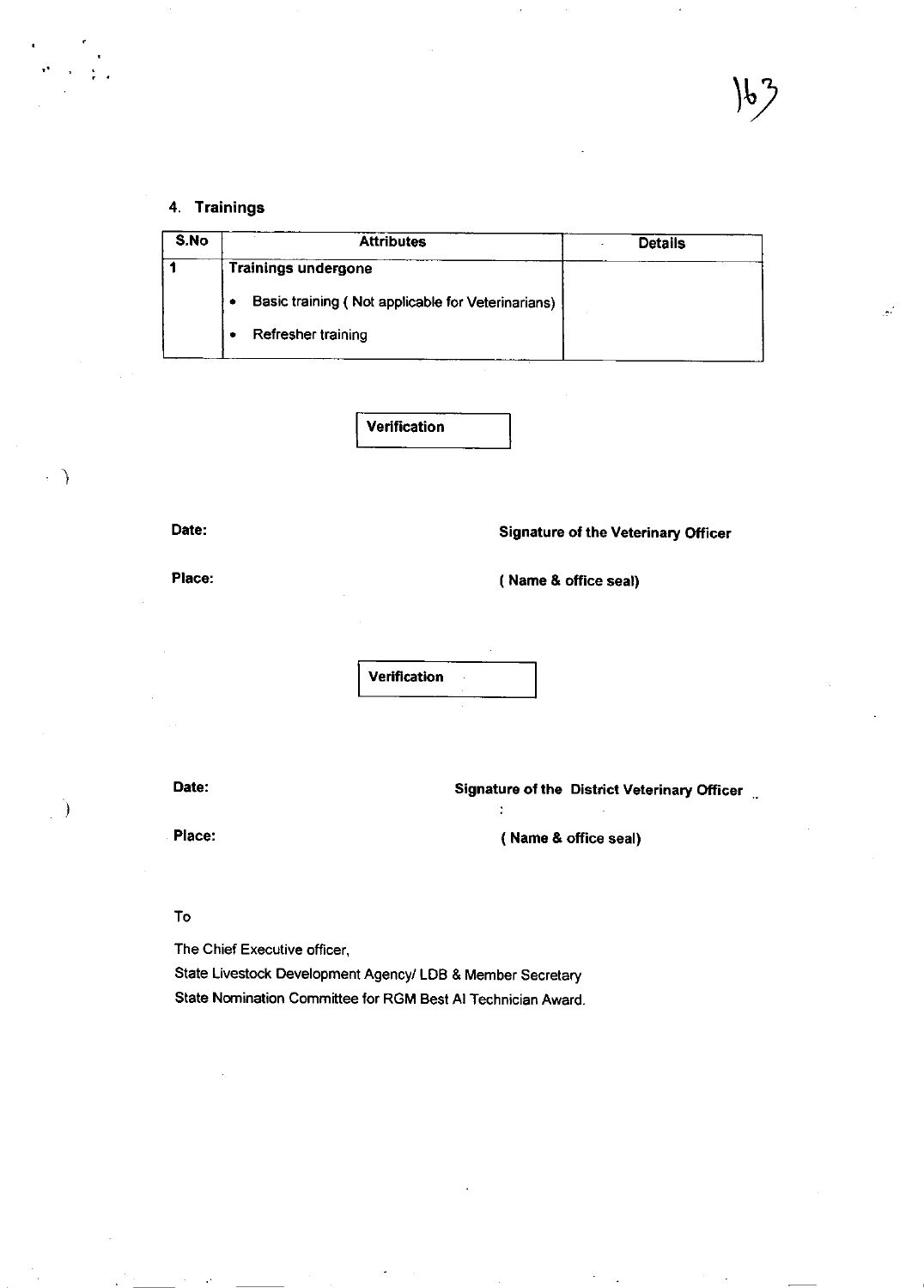### 4. Trainings

| S.No | <b>Attributes</b>                                 | <b>Details</b> |
|------|---------------------------------------------------|----------------|
|      | <b>Trainings undergone</b>                        |                |
|      | Basic training (Not applicable for Veterinarians) |                |
|      | Refresher training                                |                |
|      |                                                   |                |

Verification

Date:

 $\cdot$   $\rightarrow$ 

ı

Signature ot the Veterinary Officer

Place:

( Name & office seal)

Verification

Date: Date: Signature of the District Veterinary Officer in the Second State of the District Veterinary Officer

Place: (Name & office seal)

j

To

The Chief Executive ofricer,

State Livestock Development Agency/ LDB & Member Secretary State Nornination Committee for RGM Best Al Technician Award.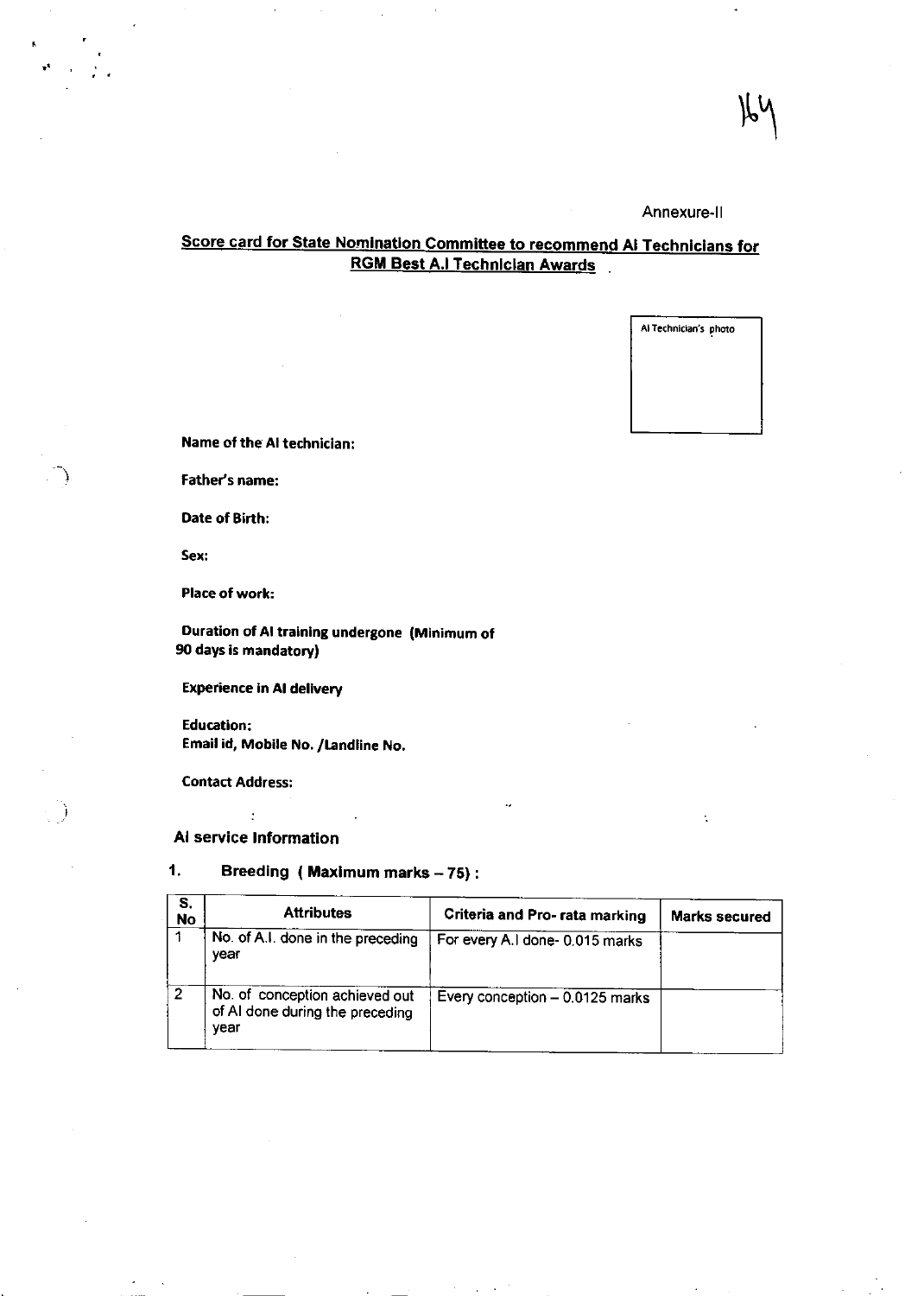### Annexure-ll

## Score card for State Nomination Committee to recommend Al Technicians for RGM Best A.l Technlclan Awards

AlTachnician's photo

Name of the AI technician:

Father's name:

Date of Birth:

Sex:

 $\mathcal{L}$ 

l:

Place of work:

Duration of AI training undergone (Minimum of 90 days is mandatory)

Experience in AI delivery

Education: Email id, Mobile No, /tandllne No,

Contact Address:

 $\ddot{\cdot}$ Al service lnformation

1. Breeding ( Maximum marks  $-75$ ) :

| S.<br><b>No</b> | <b>Attributes</b>                                                         | Criteria and Pro- rata marking  | <b>Marks secured</b> |
|-----------------|---------------------------------------------------------------------------|---------------------------------|----------------------|
|                 | No. of A.I. done in the preceding<br>year                                 | For every A.I done- 0.015 marks |                      |
| 2               | No. of conception achieved out<br>of AI done during the preceding<br>year | Every conception - 0.0125 marks |                      |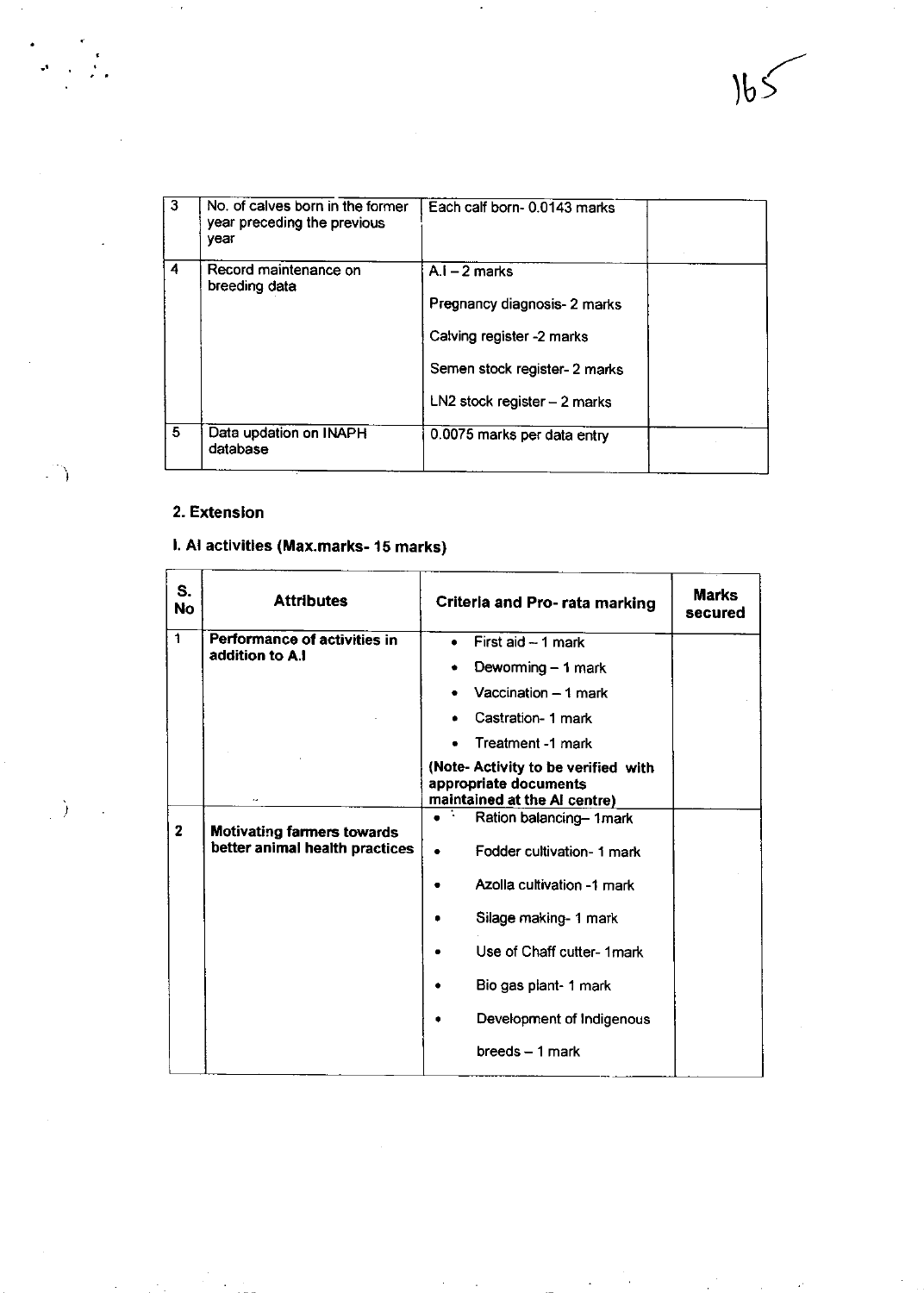| 3  | No. of calves born in the former<br>year preceding the previous<br>vear | Each calf born-0.0143 marks                                                                                   |  |
|----|-------------------------------------------------------------------------|---------------------------------------------------------------------------------------------------------------|--|
| 4  | Record maintenance on<br>breeding data                                  | $A_i - 2$ marks<br>Pregnancy diagnosis- 2 marks<br>Calving register -2 marks<br>Semen stock register- 2 marks |  |
| 5. | Data updation on INAPH<br>database                                      | $LN2$ stock register $-2$ marks<br>0.0075 marks per data entry                                                |  |

 $\cdot$ 

### 2. Extenslon

 $\overline{a}$ 

 $\overline{1}$ 

 $\sim$   $\star$ 

 $\overline{f}^{\prime\prime}$  ,

 $\ddot{\phantom{0}}$ 

 $\left(\frac{1}{2}\right)$ 

## l. Al activitles (Max.marks- 15 marks)

| S.<br><b>No</b> | <b>Attributes</b>                 | Criteria and Pro- rata marking                                                               | <b>Marks</b><br>secured |
|-----------------|-----------------------------------|----------------------------------------------------------------------------------------------|-------------------------|
| 1               | Performance of activities in      | First aid -- 1 mark<br>$\bullet$                                                             |                         |
|                 | addition to A.I                   | Deworming - 1 mark                                                                           |                         |
|                 |                                   | Vaccination $-1$ mark                                                                        |                         |
|                 |                                   | Castration- 1 mark                                                                           |                         |
|                 |                                   | Treatment -1 mark                                                                            |                         |
|                 |                                   | (Note- Activity to be verified with<br>appropriate documents<br>maintained at the AI centre) |                         |
| $\mathbf{2}$    | <b>Motivating farmers towards</b> | Ration balancing-1mark                                                                       |                         |
|                 | better animal health practices    | Fodder cultivation- 1 mark                                                                   |                         |
|                 |                                   | Azolla cultivation -1 mark                                                                   |                         |
|                 |                                   | Silage making- 1 mark                                                                        |                         |
|                 |                                   | Use of Chaff cutter- 1 mark                                                                  |                         |
|                 |                                   | Bio gas plant- 1 mark                                                                        |                         |
|                 |                                   | Development of Indigenous                                                                    |                         |
|                 |                                   | breeds - 1 mark                                                                              |                         |

 $\frac{1}{\sqrt{2}}$ 

 $\ddot{\phantom{0}}$ 

 $\mathcal{A}$ 

**Contract Contract**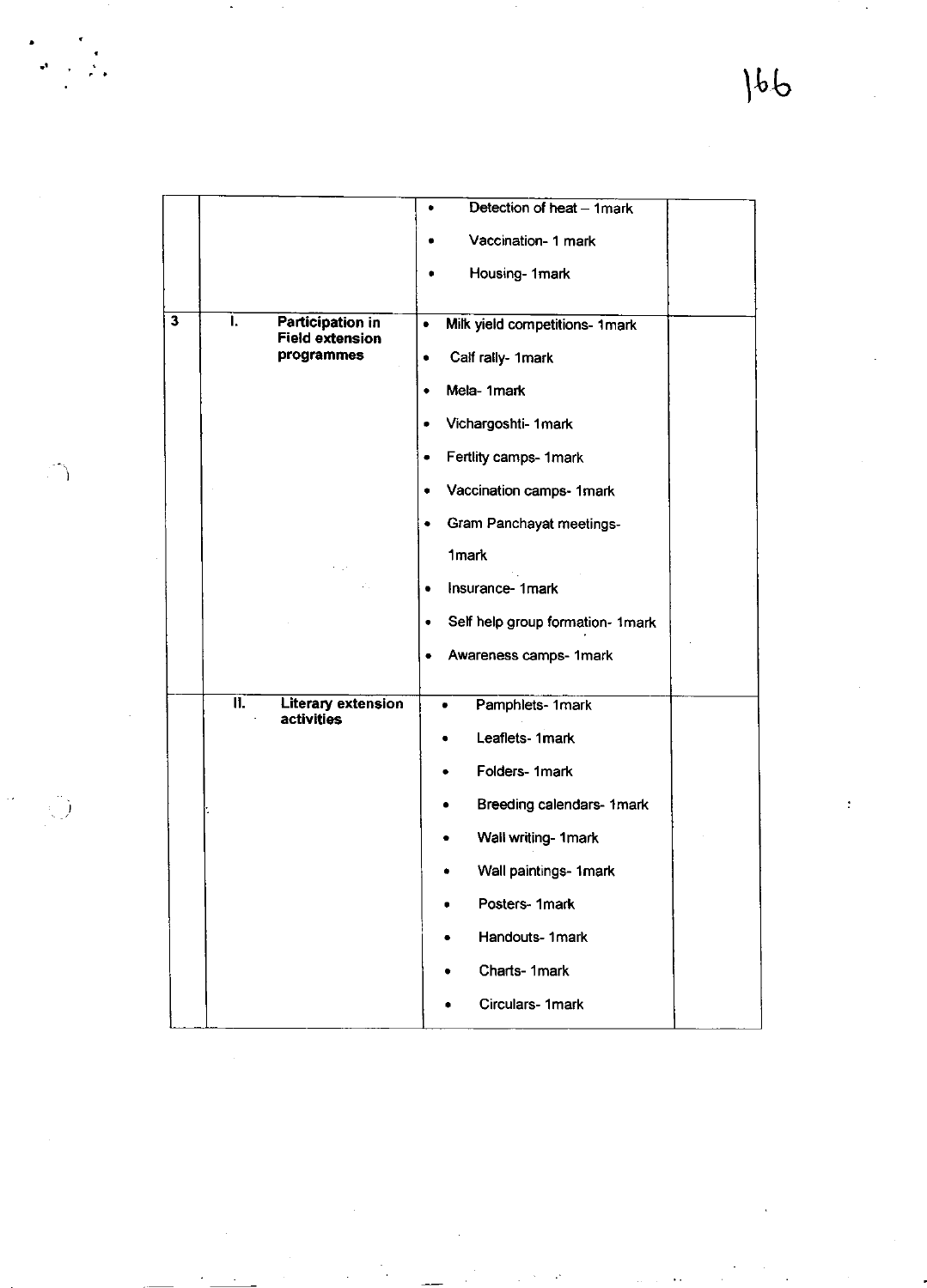$\ddot{\cdot}$ 

|                         |     |                                            | Detection of heat - 1mark<br>٠        |
|-------------------------|-----|--------------------------------------------|---------------------------------------|
|                         |     |                                            | Vaccination- 1 mark                   |
|                         |     |                                            | Housing-1mark<br>۰                    |
|                         |     |                                            |                                       |
| $\overline{\mathbf{3}}$ | I.  | Participation in<br><b>Field extension</b> | Milk yield competitions- 1mark<br>٠   |
|                         |     | programmes                                 | Calf rally- 1mark<br>٠                |
|                         |     |                                            | Mela-1mark<br>٠                       |
|                         |     |                                            | Vichargoshti- 1 mark<br>۰             |
|                         |     |                                            | Fertlity camps- 1mark<br>٠            |
|                         |     |                                            | Vaccination camps- 1mark<br>٠         |
|                         |     |                                            | Gram Panchayat meetings-<br>٠         |
|                         |     |                                            | 1 <sub>mark</sub>                     |
|                         |     |                                            | Insurance-1mark<br>٠                  |
|                         |     |                                            | Self help group formation- 1mark<br>۰ |
|                         |     |                                            | Awareness camps- 1mark                |
|                         |     |                                            |                                       |
|                         | IJ. | Literary extension<br>activities           | Pamphlets- 1mark                      |
|                         |     |                                            | Leaflets-1mark                        |
|                         |     |                                            | Folders-1mark                         |
|                         |     |                                            | Breeding calendars- 1 mark            |
|                         |     |                                            | Wall writing- 1 mark                  |
|                         |     |                                            | Wall paintings- 1mark                 |
|                         |     |                                            | Posters-1mark                         |
|                         |     |                                            | Handouts-1mark                        |
|                         |     |                                            | Charts-1mark                          |
|                         |     |                                            | Circulars-1mark                       |
|                         |     |                                            |                                       |

 $\bar{\gamma}$ 

 $\bigcup$ 

 $\label{eq:2} \begin{array}{ll} \mathbf{a} & \mathbf{a} \\ \mathbf{b} & \mathbf{a} \\ \mathbf{c} & \mathbf{a} \end{array}$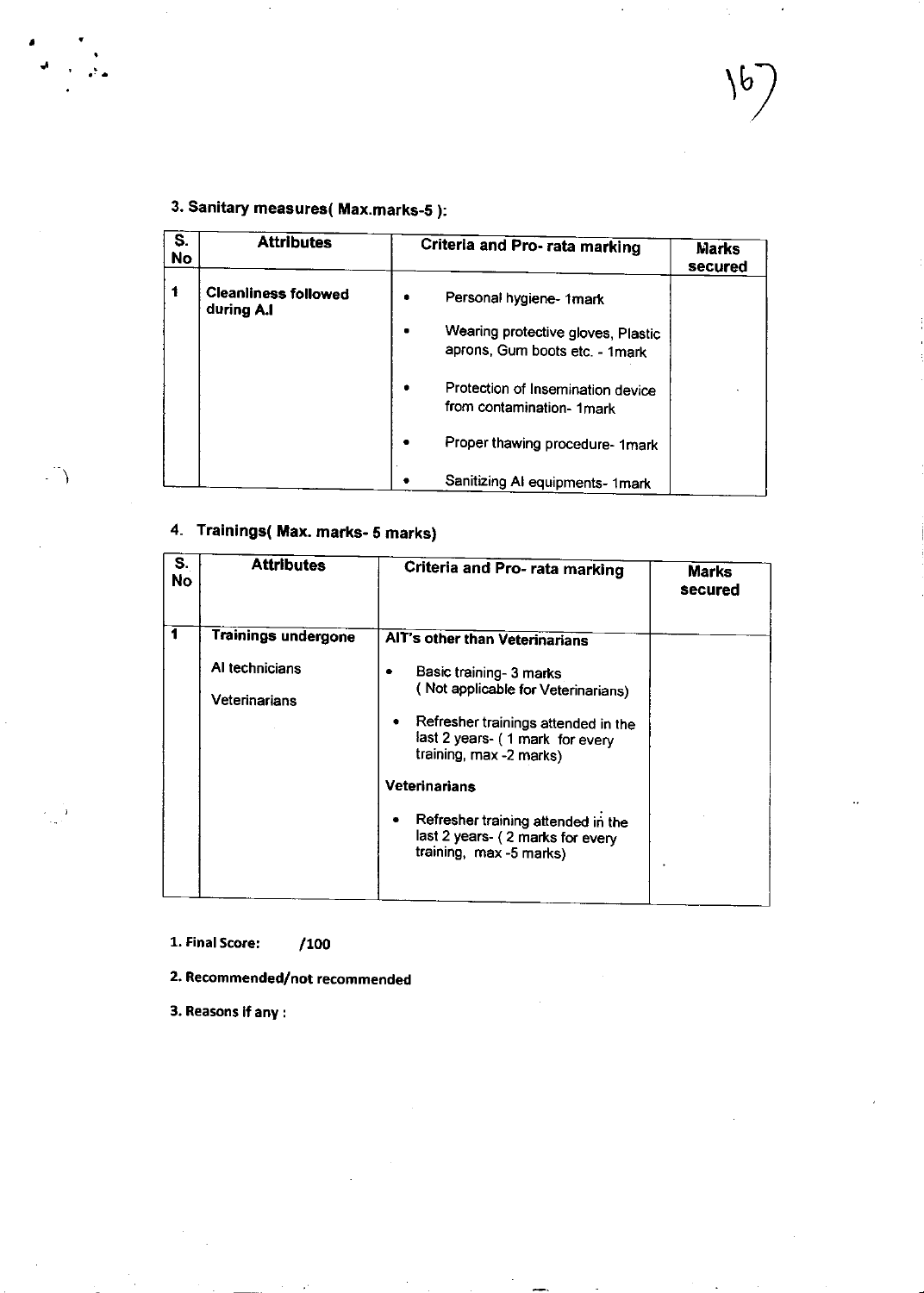$\mathbb{Z}^2$ 

# 3. Sanitary measures( Max.marks-S ):

 $\begin{array}{cc} \mathbf{z} & \mathbf{y} \\ \mathbf{w} & \mathbf{y} \\ \mathbf{z} & \mathbf{y} \end{array}$ 

 $\overline{\mathcal{L}}$ 

| S.<br>No | <b>Attributes</b>                         | Criteria and Pro- rata marking                                                                  | <b>Marks</b><br>secured |
|----------|-------------------------------------------|-------------------------------------------------------------------------------------------------|-------------------------|
| 1        | <b>Cleanliness followed</b><br>during A.I | Personal hygiene- 1mark<br>Wearing protective gloves, Plastic<br>aprons, Gum boots etc. - 1mark |                         |
|          |                                           | Protection of Insemination device<br>from contamination- 1mark                                  |                         |
|          |                                           | Proper thawing procedure- 1mark                                                                 |                         |
|          |                                           | Sanitizing AI equipments- 1mark                                                                 |                         |

# 4. Trainings( Max. marks- 5 marks)

| S.<br>No | <b>Attributes</b>                                             | Criteria and Pro- rata marking                                                                                                                                                                                                                                                                                                       | <b>Marks</b><br>secured |
|----------|---------------------------------------------------------------|--------------------------------------------------------------------------------------------------------------------------------------------------------------------------------------------------------------------------------------------------------------------------------------------------------------------------------------|-------------------------|
| 1        | <b>Trainings undergone</b><br>Al technicians<br>Veterinarians | AIT's other than Veterinarians<br>Basic training- 3 marks<br>(Not applicable for Veterinarians)<br>Refresher trainings attended in the<br>٠<br>last 2 years- (1 mark for every<br>training, max -2 marks)<br>Veterinarians<br>Refresher training attended in the<br>٠<br>last 2 years- (2 marks for every<br>training, max -5 marks) |                         |

1. Final Score: /100

2. Recommended/not recommended

3. Reasons if any :